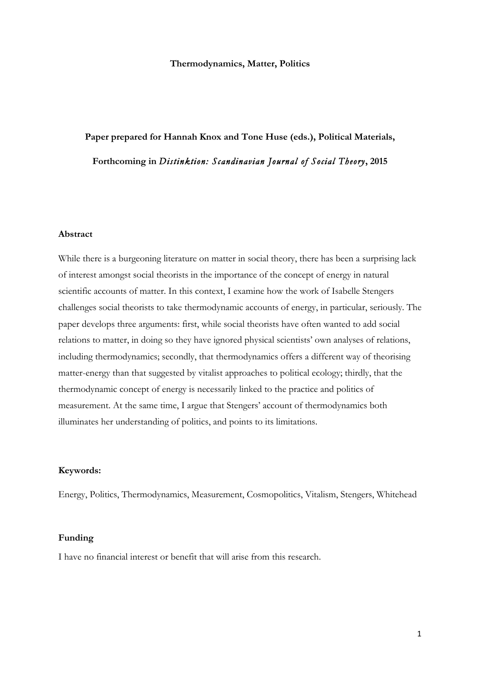#### **Thermodynamics, Matter, Politics**

# **Paper prepared for Hannah Knox and Tone Huse (eds.), Political Materials, Forthcoming in** *Distinktion: Scandinavian Journal of Social Theory***, 2015**

#### **Abstract**

While there is a burgeoning literature on matter in social theory, there has been a surprising lack of interest amongst social theorists in the importance of the concept of energy in natural scientific accounts of matter. In this context, I examine how the work of Isabelle Stengers challenges social theorists to take thermodynamic accounts of energy, in particular, seriously. The paper develops three arguments: first, while social theorists have often wanted to add social relations to matter, in doing so they have ignored physical scientists' own analyses of relations, including thermodynamics; secondly, that thermodynamics offers a different way of theorising matter-energy than that suggested by vitalist approaches to political ecology; thirdly, that the thermodynamic concept of energy is necessarily linked to the practice and politics of measurement. At the same time, I argue that Stengers' account of thermodynamics both illuminates her understanding of politics, and points to its limitations.

# **Keywords:**

Energy, Politics, Thermodynamics, Measurement, Cosmopolitics, Vitalism, Stengers, Whitehead

#### **Funding**

I have no financial interest or benefit that will arise from this research.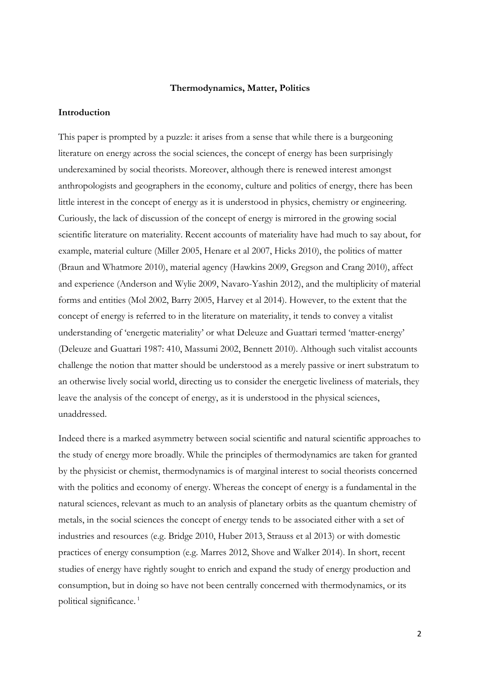#### **Thermodynamics, Matter, Politics**

## **Introduction**

This paper is prompted by a puzzle: it arises from a sense that while there is a burgeoning literature on energy across the social sciences, the concept of energy has been surprisingly underexamined by social theorists. Moreover, although there is renewed interest amongst anthropologists and geographers in the economy, culture and politics of energy, there has been little interest in the concept of energy as it is understood in physics, chemistry or engineering. Curiously, the lack of discussion of the concept of energy is mirrored in the growing social scientific literature on materiality. Recent accounts of materiality have had much to say about, for example, material culture (Miller 2005, Henare et al 2007, Hicks 2010), the politics of matter (Braun and Whatmore 2010), material agency (Hawkins 2009, Gregson and Crang 2010), affect and experience (Anderson and Wylie 2009, Navaro-Yashin 2012), and the multiplicity of material forms and entities (Mol 2002, Barry 2005, Harvey et al 2014). However, to the extent that the concept of energy is referred to in the literature on materiality, it tends to convey a vitalist understanding of 'energetic materiality' or what Deleuze and Guattari termed 'matter-energy' (Deleuze and Guattari 1987: 410, Massumi 2002, Bennett 2010). Although such vitalist accounts challenge the notion that matter should be understood as a merely passive or inert substratum to an otherwise lively social world, directing us to consider the energetic liveliness of materials, they leave the analysis of the concept of energy, as it is understood in the physical sciences, unaddressed.

Indeed there is a marked asymmetry between social scientific and natural scientific approaches to the study of energy more broadly. While the principles of thermodynamics are taken for granted by the physicist or chemist, thermodynamics is of marginal interest to social theorists concerned with the politics and economy of energy. Whereas the concept of energy is a fundamental in the natural sciences, relevant as much to an analysis of planetary orbits as the quantum chemistry of metals, in the social sciences the concept of energy tends to be associated either with a set of industries and resources (e.g. Bridge 2010, Huber 2013, Strauss et al 2013) or with domestic practices of energy consumption (e.g. Marres 2012, Shove and Walker 2014). In short, recent studies of energy have rightly sought to enrich and expand the study of energy production and consumption, but in doing so have not been centrally concerned with thermodynamics, or its political significance.<sup>1</sup>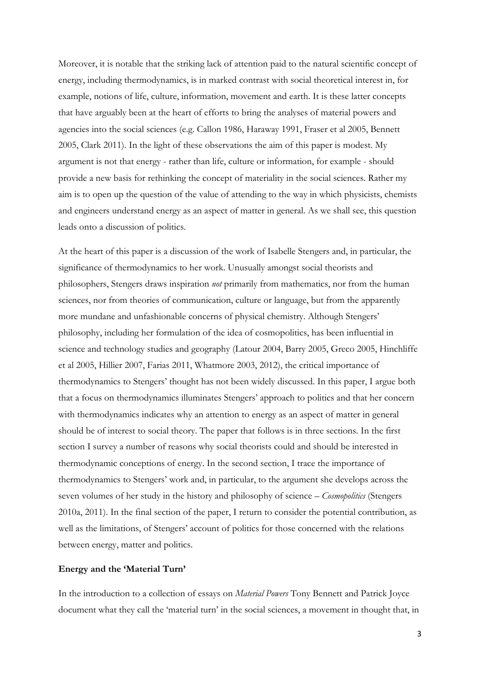Moreover, it is notable that the striking lack of attention paid to the natural scientific concept of energy, including thermodynamics, is in marked contrast with social theoretical interest in, for example, notions of life, culture, information, movement and earth. It is these latter concepts that have arguably been at the heart of efforts to bring the analyses of material powers and agencies into the social sciences (e.g. Callon 1986, Haraway 1991, Fraser et al 2005, Bennett 2005, Clark 2011). In the light of these observations the aim of this paper is modest. My argument is not that energy - rather than life, culture or information, for example - should provide a new basis for rethinking the concept of materiality in the social sciences. Rather my aim is to open up the question of the value of attending to the way in which physicists, chemists and engineers understand energy as an aspect of matter in general. As we shall see, this question leads onto a discussion of politics.

At the heart of this paper is a discussion of the work of Isabelle Stengers and, in particular, the significance of thermodynamics to her work. Unusually amongst social theorists and philosophers, Stengers draws inspiration *not* primarily from mathematics, nor from the human sciences, nor from theories of communication, culture or language, but from the apparently more mundane and unfashionable concerns of physical chemistry. Although Stengers' philosophy, including her formulation of the idea of cosmopolitics, has been influential in science and technology studies and geography (Latour 2004, Barry 2005, Greco 2005, Hinchliffe et al 2005, Hillier 2007, Farias 2011, Whatmore 2003, 2012), the critical importance of thermodynamics to Stengers' thought has not been widely discussed. In this paper, I argue both that a focus on thermodynamics illuminates Stengers' approach to politics and that her concern with thermodynamics indicates why an attention to energy as an aspect of matter in general should be of interest to social theory. The paper that follows is in three sections. In the first section I survey a number of reasons why social theorists could and should be interested in thermodynamic conceptions of energy. In the second section, I trace the importance of thermodynamics to Stengers' work and, in particular, to the argument she develops across the seven volumes of her study in the history and philosophy of science – *Cosmopolitics* (Stengers 2010a, 2011). In the final section of the paper, I return to consider the potential contribution, as well as the limitations, of Stengers' account of politics for those concerned with the relations between energy, matter and politics.

### **Energy and the 'Material Turn'**

In the introduction to a collection of essays on *Material Powers* Tony Bennett and Patrick Joyce document what they call the 'material turn' in the social sciences, a movement in thought that, in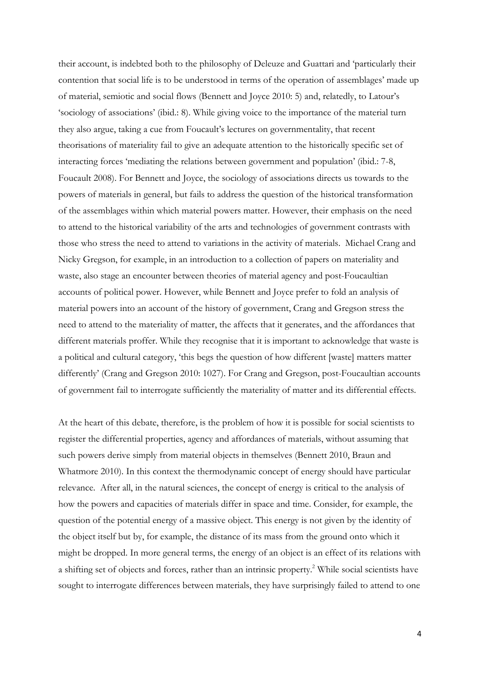their account, is indebted both to the philosophy of Deleuze and Guattari and 'particularly their contention that social life is to be understood in terms of the operation of assemblages' made up of material, semiotic and social flows (Bennett and Joyce 2010: 5) and, relatedly, to Latour's 'sociology of associations' (ibid.: 8). While giving voice to the importance of the material turn they also argue, taking a cue from Foucault's lectures on governmentality, that recent theorisations of materiality fail to give an adequate attention to the historically specific set of interacting forces 'mediating the relations between government and population' (ibid.: 7-8, Foucault 2008). For Bennett and Joyce, the sociology of associations directs us towards to the powers of materials in general, but fails to address the question of the historical transformation of the assemblages within which material powers matter. However, their emphasis on the need to attend to the historical variability of the arts and technologies of government contrasts with those who stress the need to attend to variations in the activity of materials. Michael Crang and Nicky Gregson, for example, in an introduction to a collection of papers on materiality and waste, also stage an encounter between theories of material agency and post-Foucaultian accounts of political power. However, while Bennett and Joyce prefer to fold an analysis of material powers into an account of the history of government, Crang and Gregson stress the need to attend to the materiality of matter, the affects that it generates, and the affordances that different materials proffer. While they recognise that it is important to acknowledge that waste is a political and cultural category, 'this begs the question of how different [waste] matters matter differently' (Crang and Gregson 2010: 1027). For Crang and Gregson, post-Foucaultian accounts of government fail to interrogate sufficiently the materiality of matter and its differential effects.

At the heart of this debate, therefore, is the problem of how it is possible for social scientists to register the differential properties, agency and affordances of materials, without assuming that such powers derive simply from material objects in themselves (Bennett 2010, Braun and Whatmore 2010). In this context the thermodynamic concept of energy should have particular relevance. After all, in the natural sciences, the concept of energy is critical to the analysis of how the powers and capacities of materials differ in space and time. Consider, for example, the question of the potential energy of a massive object. This energy is not given by the identity of the object itself but by, for example, the distance of its mass from the ground onto which it might be dropped. In more general terms, the energy of an object is an effect of its relations with a shifting set of objects and forces, rather than an intrinsic property.<sup>2</sup> While social scientists have sought to interrogate differences between materials, they have surprisingly failed to attend to one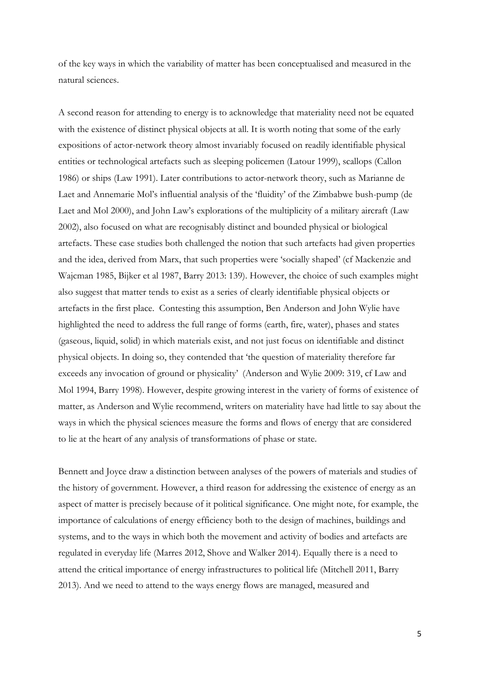of the key ways in which the variability of matter has been conceptualised and measured in the natural sciences.

A second reason for attending to energy is to acknowledge that materiality need not be equated with the existence of distinct physical objects at all. It is worth noting that some of the early expositions of actor-network theory almost invariably focused on readily identifiable physical entities or technological artefacts such as sleeping policemen (Latour 1999), scallops (Callon 1986) or ships (Law 1991). Later contributions to actor-network theory, such as Marianne de Laet and Annemarie Mol's influential analysis of the 'fluidity' of the Zimbabwe bush-pump (de Laet and Mol 2000), and John Law's explorations of the multiplicity of a military aircraft (Law 2002), also focused on what are recognisably distinct and bounded physical or biological artefacts. These case studies both challenged the notion that such artefacts had given properties and the idea, derived from Marx, that such properties were 'socially shaped' (cf Mackenzie and Wajcman 1985, Bijker et al 1987, Barry 2013: 139). However, the choice of such examples might also suggest that matter tends to exist as a series of clearly identifiable physical objects or artefacts in the first place. Contesting this assumption, Ben Anderson and John Wylie have highlighted the need to address the full range of forms (earth, fire, water), phases and states (gaseous, liquid, solid) in which materials exist, and not just focus on identifiable and distinct physical objects. In doing so, they contended that 'the question of materiality therefore far exceeds any invocation of ground or physicality' (Anderson and Wylie 2009: 319, cf Law and Mol 1994, Barry 1998). However, despite growing interest in the variety of forms of existence of matter, as Anderson and Wylie recommend, writers on materiality have had little to say about the ways in which the physical sciences measure the forms and flows of energy that are considered to lie at the heart of any analysis of transformations of phase or state.

Bennett and Joyce draw a distinction between analyses of the powers of materials and studies of the history of government. However, a third reason for addressing the existence of energy as an aspect of matter is precisely because of it political significance. One might note, for example, the importance of calculations of energy efficiency both to the design of machines, buildings and systems, and to the ways in which both the movement and activity of bodies and artefacts are regulated in everyday life (Marres 2012, Shove and Walker 2014). Equally there is a need to attend the critical importance of energy infrastructures to political life (Mitchell 2011, Barry 2013). And we need to attend to the ways energy flows are managed, measured and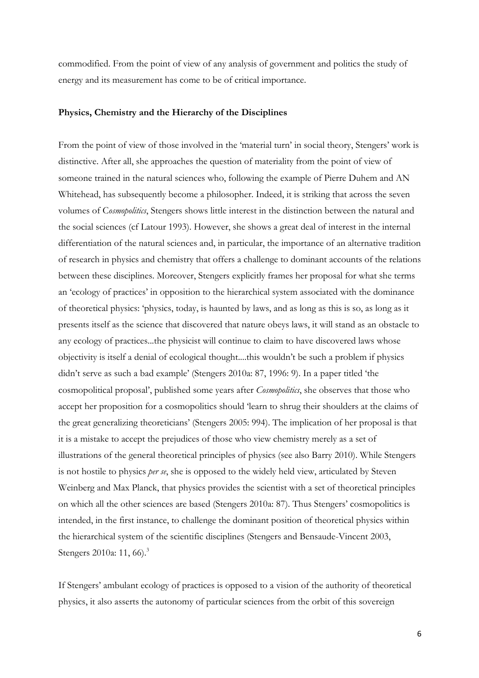commodified. From the point of view of any analysis of government and politics the study of energy and its measurement has come to be of critical importance.

# **Physics, Chemistry and the Hierarchy of the Disciplines**

From the point of view of those involved in the 'material turn' in social theory, Stengers' work is distinctive. After all, she approaches the question of materiality from the point of view of someone trained in the natural sciences who, following the example of Pierre Duhem and AN Whitehead, has subsequently become a philosopher. Indeed, it is striking that across the seven volumes of C*osmopolitics*, Stengers shows little interest in the distinction between the natural and the social sciences (cf Latour 1993). However, she shows a great deal of interest in the internal differentiation of the natural sciences and, in particular, the importance of an alternative tradition of research in physics and chemistry that offers a challenge to dominant accounts of the relations between these disciplines. Moreover, Stengers explicitly frames her proposal for what she terms an 'ecology of practices' in opposition to the hierarchical system associated with the dominance of theoretical physics: 'physics, today, is haunted by laws, and as long as this is so, as long as it presents itself as the science that discovered that nature obeys laws, it will stand as an obstacle to any ecology of practices...the physicist will continue to claim to have discovered laws whose objectivity is itself a denial of ecological thought....this wouldn't be such a problem if physics didn't serve as such a bad example' (Stengers 2010a: 87, 1996: 9). In a paper titled 'the cosmopolitical proposal', published some years after *Cosmopolitics*, she observes that those who accept her proposition for a cosmopolitics should 'learn to shrug their shoulders at the claims of the great generalizing theoreticians' (Stengers 2005: 994). The implication of her proposal is that it is a mistake to accept the prejudices of those who view chemistry merely as a set of illustrations of the general theoretical principles of physics (see also Barry 2010). While Stengers is not hostile to physics *per se*, she is opposed to the widely held view, articulated by Steven Weinberg and Max Planck, that physics provides the scientist with a set of theoretical principles on which all the other sciences are based (Stengers 2010a: 87). Thus Stengers' cosmopolitics is intended, in the first instance, to challenge the dominant position of theoretical physics within the hierarchical system of the scientific disciplines (Stengers and Bensaude-Vincent 2003, Stengers 2010a: 11, 66).<sup>3</sup>

If Stengers' ambulant ecology of practices is opposed to a vision of the authority of theoretical physics, it also asserts the autonomy of particular sciences from the orbit of this sovereign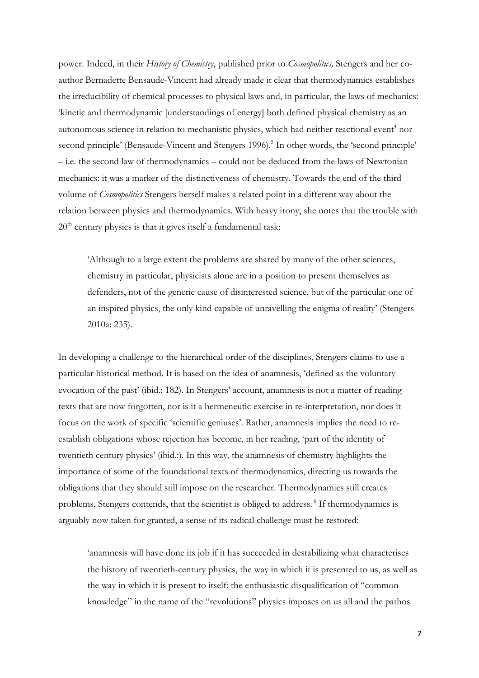power. Indeed, in their *History of Chemistry*, published prior to *Cosmopolitics,* Stengers and her coauthor Bernadette Bensaude-Vincent had already made it clear that thermodynamics establishes the irreducibility of chemical processes to physical laws and, in particular, the laws of mechanics: 'kinetic and thermodynamic [understandings of energy] both defined physical chemistry as an autonomous science in relation to mechanistic physics, which had neither reactional event<sup>4</sup> nor second principle' (Bensaude-Vincent and Stengers 1996).<sup>5</sup> In other words, the 'second principle' – i.e. the second law of thermodynamics – could not be deduced from the laws of Newtonian mechanics: it was a marker of the distinctiveness of chemistry. Towards the end of the third volume of *Cosmopolitics* Stengers herself makes a related point in a different way about the relation between physics and thermodynamics. With heavy irony, she notes that the trouble with  $20<sup>th</sup>$  century physics is that it gives itself a fundamental task:

'Although to a large extent the problems are shared by many of the other sciences, chemistry in particular, physicists alone are in a position to present themselves as defenders, not of the generic cause of disinterested science, but of the particular one of an inspired physics, the only kind capable of unravelling the enigma of reality' (Stengers 2010a: 235).

In developing a challenge to the hierarchical order of the disciplines, Stengers claims to use a particular historical method. It is based on the idea of anamnesis, 'defined as the voluntary evocation of the past' (ibid.: 182). In Stengers' account, anamnesis is not a matter of reading texts that are now forgotten, nor is it a hermeneutic exercise in re-interpretation, nor does it focus on the work of specific 'scientific geniuses'. Rather, anamnesis implies the need to reestablish obligations whose rejection has become, in her reading, 'part of the identity of twentieth century physics' (ibid.:). In this way, the anamnesis of chemistry highlights the importance of some of the foundational texts of thermodynamics, directing us towards the obligations that they should still impose on the researcher. Thermodynamics still creates problems, Stengers contends, that the scientist is obliged to address. <sup>6</sup> If thermodynamics is arguably now taken for granted, a sense of its radical challenge must be restored:

'anamnesis will have done its job if it has succeeded in destabilizing what characterises the history of twentieth-century physics, the way in which it is presented to us, as well as the way in which it is present to itself: the enthusiastic disqualification of "common knowledge" in the name of the "revolutions" physics imposes on us all and the pathos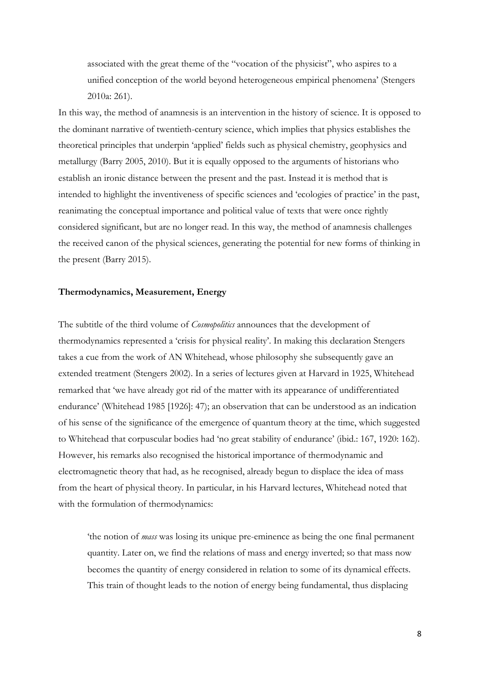associated with the great theme of the "vocation of the physicist", who aspires to a unified conception of the world beyond heterogeneous empirical phenomena' (Stengers 2010a: 261).

In this way, the method of anamnesis is an intervention in the history of science. It is opposed to the dominant narrative of twentieth-century science, which implies that physics establishes the theoretical principles that underpin 'applied' fields such as physical chemistry, geophysics and metallurgy (Barry 2005, 2010). But it is equally opposed to the arguments of historians who establish an ironic distance between the present and the past. Instead it is method that is intended to highlight the inventiveness of specific sciences and 'ecologies of practice' in the past, reanimating the conceptual importance and political value of texts that were once rightly considered significant, but are no longer read. In this way, the method of anamnesis challenges the received canon of the physical sciences, generating the potential for new forms of thinking in the present (Barry 2015).

## **Thermodynamics, Measurement, Energy**

The subtitle of the third volume of *Cosmopolitics* announces that the development of thermodynamics represented a 'crisis for physical reality'. In making this declaration Stengers takes a cue from the work of AN Whitehead, whose philosophy she subsequently gave an extended treatment (Stengers 2002). In a series of lectures given at Harvard in 1925, Whitehead remarked that 'we have already got rid of the matter with its appearance of undifferentiated endurance' (Whitehead 1985 [1926]: 47); an observation that can be understood as an indication of his sense of the significance of the emergence of quantum theory at the time, which suggested to Whitehead that corpuscular bodies had 'no great stability of endurance' (ibid.: 167, 1920: 162). However, his remarks also recognised the historical importance of thermodynamic and electromagnetic theory that had, as he recognised, already begun to displace the idea of mass from the heart of physical theory. In particular, in his Harvard lectures, Whitehead noted that with the formulation of thermodynamics:

'the notion of *mass* was losing its unique pre-eminence as being the one final permanent quantity. Later on, we find the relations of mass and energy inverted; so that mass now becomes the quantity of energy considered in relation to some of its dynamical effects. This train of thought leads to the notion of energy being fundamental, thus displacing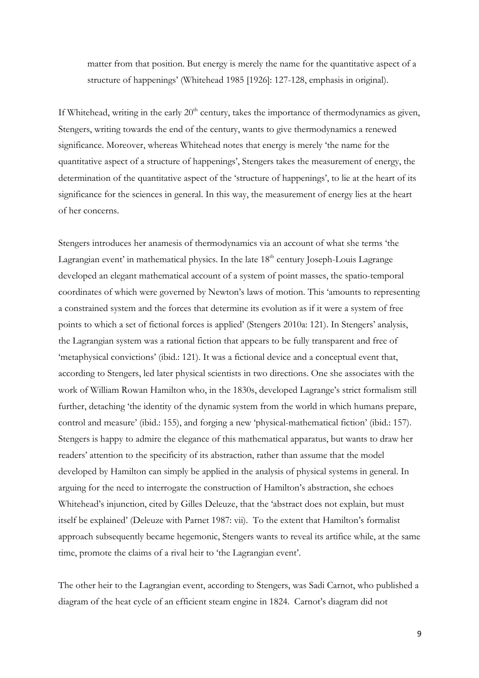matter from that position. But energy is merely the name for the quantitative aspect of a structure of happenings' (Whitehead 1985 [1926]: 127-128, emphasis in original).

If Whitehead, writing in the early  $20<sup>th</sup>$  century, takes the importance of thermodynamics as given, Stengers, writing towards the end of the century, wants to give thermodynamics a renewed significance. Moreover, whereas Whitehead notes that energy is merely 'the name for the quantitative aspect of a structure of happenings', Stengers takes the measurement of energy, the determination of the quantitative aspect of the 'structure of happenings', to lie at the heart of its significance for the sciences in general. In this way, the measurement of energy lies at the heart of her concerns.

Stengers introduces her anamesis of thermodynamics via an account of what she terms 'the Lagrangian event' in mathematical physics. In the late  $18<sup>th</sup>$  century Joseph-Louis Lagrange developed an elegant mathematical account of a system of point masses, the spatio-temporal coordinates of which were governed by Newton's laws of motion. This 'amounts to representing a constrained system and the forces that determine its evolution as if it were a system of free points to which a set of fictional forces is applied' (Stengers 2010a: 121). In Stengers' analysis, the Lagrangian system was a rational fiction that appears to be fully transparent and free of 'metaphysical convictions' (ibid.: 121). It was a fictional device and a conceptual event that, according to Stengers, led later physical scientists in two directions. One she associates with the work of William Rowan Hamilton who, in the 1830s, developed Lagrange's strict formalism still further, detaching 'the identity of the dynamic system from the world in which humans prepare, control and measure' (ibid.: 155), and forging a new 'physical-mathematical fiction' (ibid.: 157). Stengers is happy to admire the elegance of this mathematical apparatus, but wants to draw her readers' attention to the specificity of its abstraction, rather than assume that the model developed by Hamilton can simply be applied in the analysis of physical systems in general. In arguing for the need to interrogate the construction of Hamilton's abstraction, she echoes Whitehead's injunction, cited by Gilles Deleuze, that the 'abstract does not explain, but must itself be explained' (Deleuze with Parnet 1987: vii). To the extent that Hamilton's formalist approach subsequently became hegemonic, Stengers wants to reveal its artifice while, at the same time, promote the claims of a rival heir to 'the Lagrangian event'.

The other heir to the Lagrangian event, according to Stengers, was Sadi Carnot, who published a diagram of the heat cycle of an efficient steam engine in 1824. Carnot's diagram did not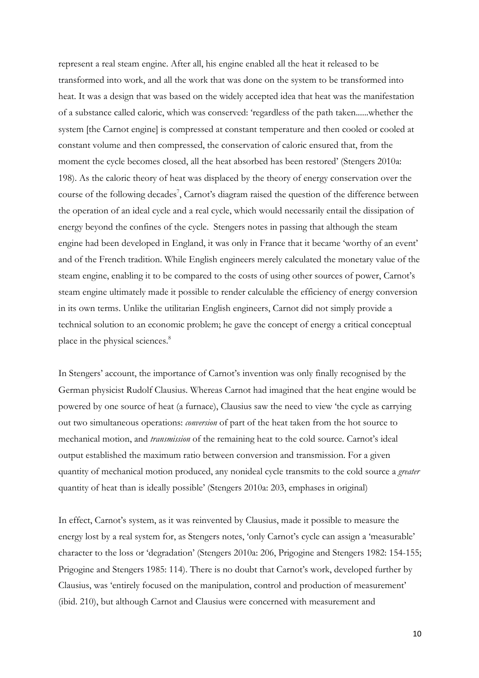represent a real steam engine. After all, his engine enabled all the heat it released to be transformed into work, and all the work that was done on the system to be transformed into heat. It was a design that was based on the widely accepted idea that heat was the manifestation of a substance called caloric, which was conserved: 'regardless of the path taken......whether the system [the Carnot engine] is compressed at constant temperature and then cooled or cooled at constant volume and then compressed, the conservation of caloric ensured that, from the moment the cycle becomes closed, all the heat absorbed has been restored' (Stengers 2010a: 198). As the caloric theory of heat was displaced by the theory of energy conservation over the course of the following decades<sup>7</sup>, Carnot's diagram raised the question of the difference between the operation of an ideal cycle and a real cycle, which would necessarily entail the dissipation of energy beyond the confines of the cycle. Stengers notes in passing that although the steam engine had been developed in England, it was only in France that it became 'worthy of an event' and of the French tradition. While English engineers merely calculated the monetary value of the steam engine, enabling it to be compared to the costs of using other sources of power, Carnot's steam engine ultimately made it possible to render calculable the efficiency of energy conversion in its own terms. Unlike the utilitarian English engineers, Carnot did not simply provide a technical solution to an economic problem; he gave the concept of energy a critical conceptual place in the physical sciences.<sup>8</sup>

In Stengers' account, the importance of Carnot's invention was only finally recognised by the German physicist Rudolf Clausius. Whereas Carnot had imagined that the heat engine would be powered by one source of heat (a furnace), Clausius saw the need to view 'the cycle as carrying out two simultaneous operations: *conversion* of part of the heat taken from the hot source to mechanical motion, and *transmission* of the remaining heat to the cold source. Carnot's ideal output established the maximum ratio between conversion and transmission. For a given quantity of mechanical motion produced, any nonideal cycle transmits to the cold source a *greater* quantity of heat than is ideally possible' (Stengers 2010a: 203, emphases in original)

In effect, Carnot's system, as it was reinvented by Clausius, made it possible to measure the energy lost by a real system for, as Stengers notes, 'only Carnot's cycle can assign a 'measurable' character to the loss or 'degradation' (Stengers 2010a: 206, Prigogine and Stengers 1982: 154-155; Prigogine and Stengers 1985: 114). There is no doubt that Carnot's work, developed further by Clausius, was 'entirely focused on the manipulation, control and production of measurement' (ibid. 210), but although Carnot and Clausius were concerned with measurement and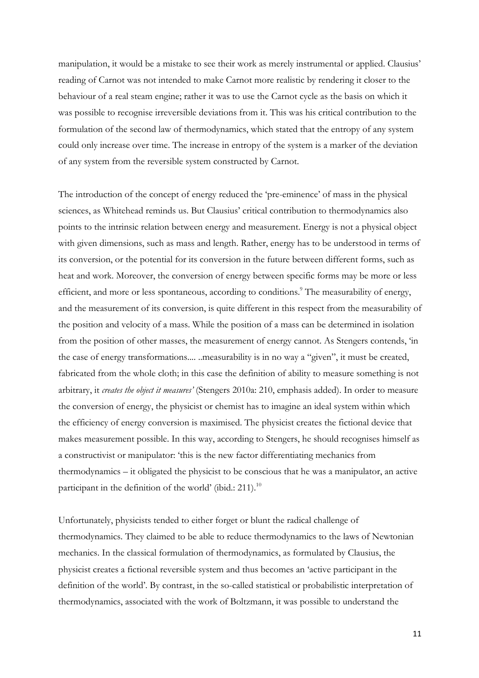manipulation, it would be a mistake to see their work as merely instrumental or applied. Clausius' reading of Carnot was not intended to make Carnot more realistic by rendering it closer to the behaviour of a real steam engine; rather it was to use the Carnot cycle as the basis on which it was possible to recognise irreversible deviations from it. This was his critical contribution to the formulation of the second law of thermodynamics, which stated that the entropy of any system could only increase over time. The increase in entropy of the system is a marker of the deviation of any system from the reversible system constructed by Carnot.

The introduction of the concept of energy reduced the 'pre-eminence' of mass in the physical sciences, as Whitehead reminds us. But Clausius' critical contribution to thermodynamics also points to the intrinsic relation between energy and measurement. Energy is not a physical object with given dimensions, such as mass and length. Rather, energy has to be understood in terms of its conversion, or the potential for its conversion in the future between different forms, such as heat and work. Moreover, the conversion of energy between specific forms may be more or less efficient, and more or less spontaneous, according to conditions.<sup>9</sup> The measurability of energy, and the measurement of its conversion, is quite different in this respect from the measurability of the position and velocity of a mass. While the position of a mass can be determined in isolation from the position of other masses, the measurement of energy cannot. As Stengers contends, 'in the case of energy transformations.... ..measurability is in no way a "given", it must be created, fabricated from the whole cloth; in this case the definition of ability to measure something is not arbitrary, it *creates the object it measures'* (Stengers 2010a: 210, emphasis added). In order to measure the conversion of energy, the physicist or chemist has to imagine an ideal system within which the efficiency of energy conversion is maximised. The physicist creates the fictional device that makes measurement possible. In this way, according to Stengers, he should recognises himself as a constructivist or manipulator: 'this is the new factor differentiating mechanics from thermodynamics – it obligated the physicist to be conscious that he was a manipulator, an active participant in the definition of the world' (ibid.: 211).<sup>10</sup>

Unfortunately, physicists tended to either forget or blunt the radical challenge of thermodynamics. They claimed to be able to reduce thermodynamics to the laws of Newtonian mechanics. In the classical formulation of thermodynamics, as formulated by Clausius, the physicist creates a fictional reversible system and thus becomes an 'active participant in the definition of the world'. By contrast, in the so-called statistical or probabilistic interpretation of thermodynamics, associated with the work of Boltzmann, it was possible to understand the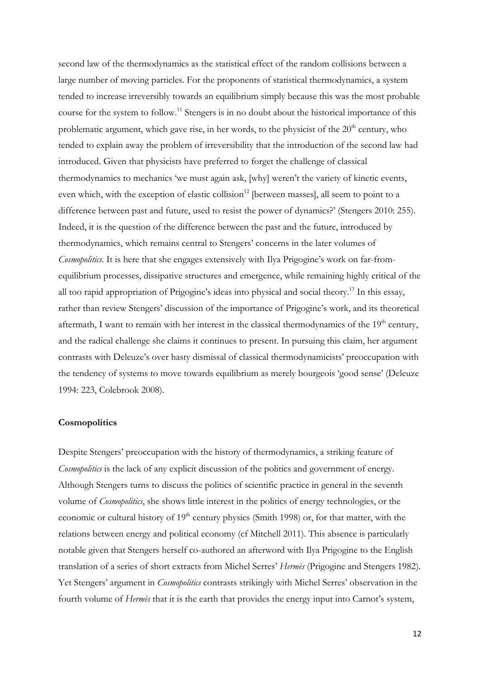second law of the thermodynamics as the statistical effect of the random collisions between a large number of moving particles. For the proponents of statistical thermodynamics, a system tended to increase irreversibly towards an equilibrium simply because this was the most probable course for the system to follow.<sup>11</sup> Stengers is in no doubt about the historical importance of this problematic argument, which gave rise, in her words, to the physicist of the  $20<sup>th</sup>$  century, who tended to explain away the problem of irreversibility that the introduction of the second law had introduced. Given that physicists have preferred to forget the challenge of classical thermodynamics to mechanics 'we must again ask, [why] weren't the variety of kinetic events, even which, with the exception of elastic collision<sup>12</sup> [between masses], all seem to point to a difference between past and future, used to resist the power of dynamics?' (Stengers 2010: 255). Indeed, it is the question of the difference between the past and the future, introduced by thermodynamics, which remains central to Stengers' concerns in the later volumes of *Cosmopolitics*. It is here that she engages extensively with Ilya Prigogine's work on far-fromequilibrium processes, dissipative structures and emergence, while remaining highly critical of the all too rapid appropriation of Prigogine's ideas into physical and social theory.13 In this essay, rather than review Stengers' discussion of the importance of Prigogine's work, and its theoretical aftermath, I want to remain with her interest in the classical thermodynamics of the 19<sup>th</sup> century, and the radical challenge she claims it continues to present. In pursuing this claim, her argument contrasts with Deleuze's over hasty dismissal of classical thermodynamicists' preoccupation with the tendency of systems to move towards equilibrium as merely bourgeois 'good sense' (Deleuze 1994: 223, Colebrook 2008).

### **Cosmopolitics**

Despite Stengers' preoccupation with the history of thermodynamics, a striking feature of *Cosmopolitics* is the lack of any explicit discussion of the politics and government of energy. Although Stengers turns to discuss the politics of scientific practice in general in the seventh volume of *Cosmopolitics*, she shows little interest in the politics of energy technologies, or the economic or cultural history of 19<sup>th</sup> century physics (Smith 1998) or, for that matter, with the relations between energy and political economy (cf Mitchell 2011). This absence is particularly notable given that Stengers herself co-authored an afterword with Ilya Prigogine to the English translation of a series of short extracts from Michel Serres' *Hermès* (Prigogine and Stengers 1982). Yet Stengers' argument in *Cosmopolitics* contrasts strikingly with Michel Serres' observation in the fourth volume of *Hermès* that it is the earth that provides the energy input into Carnot's system,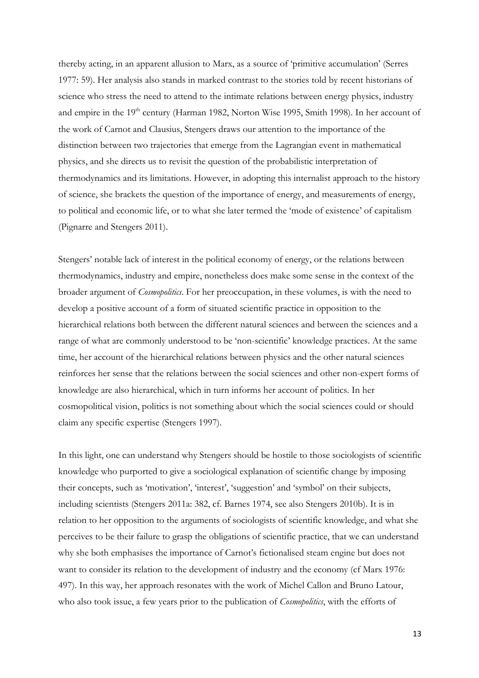thereby acting, in an apparent allusion to Marx, as a source of 'primitive accumulation' (Serres 1977: 59). Her analysis also stands in marked contrast to the stories told by recent historians of science who stress the need to attend to the intimate relations between energy physics, industry and empire in the 19<sup>th</sup> century (Harman 1982, Norton Wise 1995, Smith 1998). In her account of the work of Carnot and Clausius, Stengers draws our attention to the importance of the distinction between two trajectories that emerge from the Lagrangian event in mathematical physics, and she directs us to revisit the question of the probabilistic interpretation of thermodynamics and its limitations. However, in adopting this internalist approach to the history of science, she brackets the question of the importance of energy, and measurements of energy, to political and economic life, or to what she later termed the 'mode of existence' of capitalism (Pignarre and Stengers 2011).

Stengers' notable lack of interest in the political economy of energy, or the relations between thermodynamics, industry and empire, nonetheless does make some sense in the context of the broader argument of *Cosmopolitics*. For her preoccupation, in these volumes, is with the need to develop a positive account of a form of situated scientific practice in opposition to the hierarchical relations both between the different natural sciences and between the sciences and a range of what are commonly understood to be 'non-scientific' knowledge practices. At the same time, her account of the hierarchical relations between physics and the other natural sciences reinforces her sense that the relations between the social sciences and other non-expert forms of knowledge are also hierarchical, which in turn informs her account of politics. In her cosmopolitical vision, politics is not something about which the social sciences could or should claim any specific expertise (Stengers 1997).

In this light, one can understand why Stengers should be hostile to those sociologists of scientific knowledge who purported to give a sociological explanation of scientific change by imposing their concepts, such as 'motivation', 'interest', 'suggestion' and 'symbol' on their subjects, including scientists (Stengers 2011a: 382, cf. Barnes 1974, see also Stengers 2010b). It is in relation to her opposition to the arguments of sociologists of scientific knowledge, and what she perceives to be their failure to grasp the obligations of scientific practice, that we can understand why she both emphasises the importance of Carnot's fictionalised steam engine but does not want to consider its relation to the development of industry and the economy (cf Marx 1976: 497). In this way, her approach resonates with the work of Michel Callon and Bruno Latour, who also took issue, a few years prior to the publication of *Cosmopolitics*, with the efforts of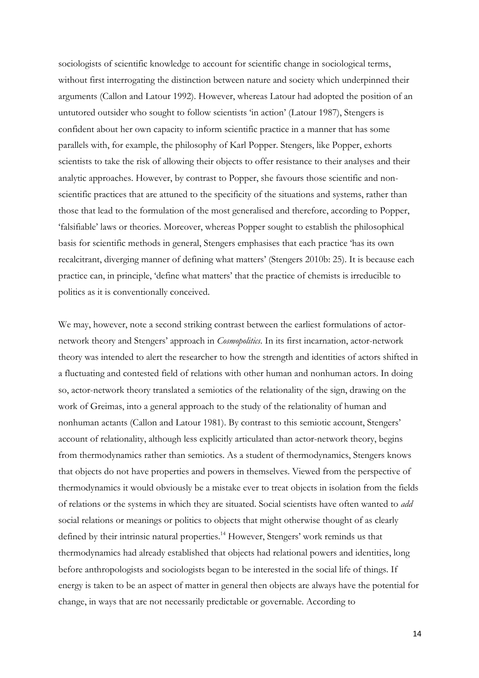sociologists of scientific knowledge to account for scientific change in sociological terms, without first interrogating the distinction between nature and society which underpinned their arguments (Callon and Latour 1992). However, whereas Latour had adopted the position of an untutored outsider who sought to follow scientists 'in action' (Latour 1987), Stengers is confident about her own capacity to inform scientific practice in a manner that has some parallels with, for example, the philosophy of Karl Popper. Stengers, like Popper, exhorts scientists to take the risk of allowing their objects to offer resistance to their analyses and their analytic approaches. However, by contrast to Popper, she favours those scientific and nonscientific practices that are attuned to the specificity of the situations and systems, rather than those that lead to the formulation of the most generalised and therefore, according to Popper, 'falsifiable' laws or theories. Moreover, whereas Popper sought to establish the philosophical basis for scientific methods in general, Stengers emphasises that each practice 'has its own recalcitrant, diverging manner of defining what matters' (Stengers 2010b: 25). It is because each practice can, in principle, 'define what matters' that the practice of chemists is irreducible to politics as it is conventionally conceived.

We may, however, note a second striking contrast between the earliest formulations of actornetwork theory and Stengers' approach in *Cosmopolitics*. In its first incarnation, actor-network theory was intended to alert the researcher to how the strength and identities of actors shifted in a fluctuating and contested field of relations with other human and nonhuman actors. In doing so, actor-network theory translated a semiotics of the relationality of the sign, drawing on the work of Greimas, into a general approach to the study of the relationality of human and nonhuman actants (Callon and Latour 1981). By contrast to this semiotic account, Stengers' account of relationality, although less explicitly articulated than actor-network theory, begins from thermodynamics rather than semiotics. As a student of thermodynamics, Stengers knows that objects do not have properties and powers in themselves. Viewed from the perspective of thermodynamics it would obviously be a mistake ever to treat objects in isolation from the fields of relations or the systems in which they are situated. Social scientists have often wanted to *add*  social relations or meanings or politics to objects that might otherwise thought of as clearly defined by their intrinsic natural properties.<sup>14</sup> However, Stengers' work reminds us that thermodynamics had already established that objects had relational powers and identities, long before anthropologists and sociologists began to be interested in the social life of things. If energy is taken to be an aspect of matter in general then objects are always have the potential for change, in ways that are not necessarily predictable or governable. According to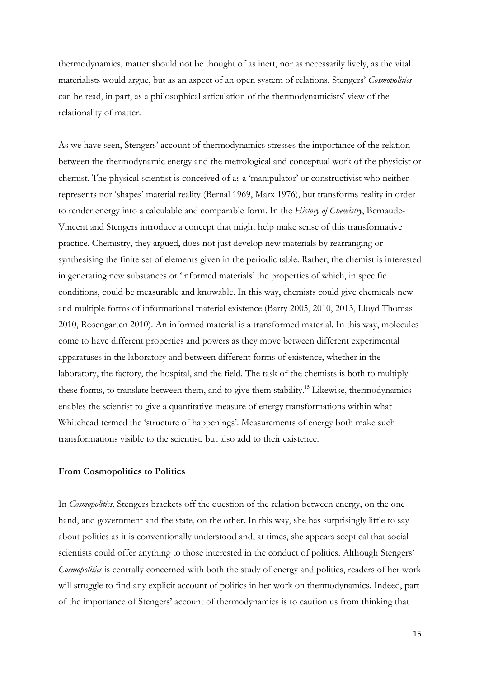thermodynamics, matter should not be thought of as inert, nor as necessarily lively, as the vital materialists would argue, but as an aspect of an open system of relations. Stengers' *Cosmopolitics* can be read, in part, as a philosophical articulation of the thermodynamicists' view of the relationality of matter.

As we have seen, Stengers' account of thermodynamics stresses the importance of the relation between the thermodynamic energy and the metrological and conceptual work of the physicist or chemist. The physical scientist is conceived of as a 'manipulator' or constructivist who neither represents nor 'shapes' material reality (Bernal 1969, Marx 1976), but transforms reality in order to render energy into a calculable and comparable form. In the *History of Chemistry*, Bernaude-Vincent and Stengers introduce a concept that might help make sense of this transformative practice. Chemistry, they argued, does not just develop new materials by rearranging or synthesising the finite set of elements given in the periodic table. Rather, the chemist is interested in generating new substances or 'informed materials' the properties of which, in specific conditions, could be measurable and knowable. In this way, chemists could give chemicals new and multiple forms of informational material existence (Barry 2005, 2010, 2013, Lloyd Thomas 2010, Rosengarten 2010). An informed material is a transformed material. In this way, molecules come to have different properties and powers as they move between different experimental apparatuses in the laboratory and between different forms of existence, whether in the laboratory, the factory, the hospital, and the field. The task of the chemists is both to multiply these forms, to translate between them, and to give them stability.<sup>15</sup> Likewise, thermodynamics enables the scientist to give a quantitative measure of energy transformations within what Whitehead termed the 'structure of happenings'. Measurements of energy both make such transformations visible to the scientist, but also add to their existence.

#### **From Cosmopolitics to Politics**

In *Cosmopolitics*, Stengers brackets off the question of the relation between energy, on the one hand, and government and the state, on the other. In this way, she has surprisingly little to say about politics as it is conventionally understood and, at times, she appears sceptical that social scientists could offer anything to those interested in the conduct of politics. Although Stengers' *Cosmopolitics* is centrally concerned with both the study of energy and politics, readers of her work will struggle to find any explicit account of politics in her work on thermodynamics. Indeed, part of the importance of Stengers' account of thermodynamics is to caution us from thinking that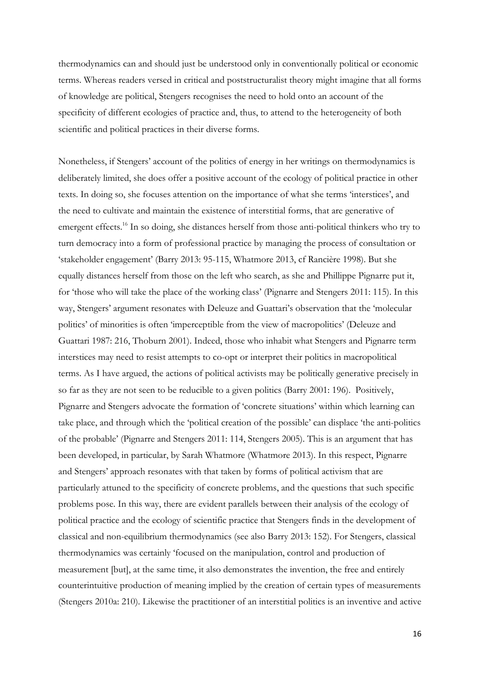thermodynamics can and should just be understood only in conventionally political or economic terms. Whereas readers versed in critical and poststructuralist theory might imagine that all forms of knowledge are political, Stengers recognises the need to hold onto an account of the specificity of different ecologies of practice and, thus, to attend to the heterogeneity of both scientific and political practices in their diverse forms.

Nonetheless, if Stengers' account of the politics of energy in her writings on thermodynamics is deliberately limited, she does offer a positive account of the ecology of political practice in other texts. In doing so, she focuses attention on the importance of what she terms 'interstices', and the need to cultivate and maintain the existence of interstitial forms, that are generative of emergent effects.<sup>16</sup> In so doing, she distances herself from those anti-political thinkers who try to turn democracy into a form of professional practice by managing the process of consultation or 'stakeholder engagement' (Barry 2013: 95-115, Whatmore 2013, cf Rancière 1998). But she equally distances herself from those on the left who search, as she and Phillippe Pignarre put it, for 'those who will take the place of the working class' (Pignarre and Stengers 2011: 115). In this way, Stengers' argument resonates with Deleuze and Guattari's observation that the 'molecular politics' of minorities is often 'imperceptible from the view of macropolitics' (Deleuze and Guattari 1987: 216, Thoburn 2001). Indeed, those who inhabit what Stengers and Pignarre term interstices may need to resist attempts to co-opt or interpret their politics in macropolitical terms. As I have argued, the actions of political activists may be politically generative precisely in so far as they are not seen to be reducible to a given politics (Barry 2001: 196). Positively, Pignarre and Stengers advocate the formation of 'concrete situations' within which learning can take place, and through which the 'political creation of the possible' can displace 'the anti-politics of the probable' (Pignarre and Stengers 2011: 114, Stengers 2005). This is an argument that has been developed, in particular, by Sarah Whatmore (Whatmore 2013). In this respect, Pignarre and Stengers' approach resonates with that taken by forms of political activism that are particularly attuned to the specificity of concrete problems, and the questions that such specific problems pose. In this way, there are evident parallels between their analysis of the ecology of political practice and the ecology of scientific practice that Stengers finds in the development of classical and non-equilibrium thermodynamics (see also Barry 2013: 152). For Stengers, classical thermodynamics was certainly 'focused on the manipulation, control and production of measurement [but], at the same time, it also demonstrates the invention, the free and entirely counterintuitive production of meaning implied by the creation of certain types of measurements (Stengers 2010a: 210). Likewise the practitioner of an interstitial politics is an inventive and active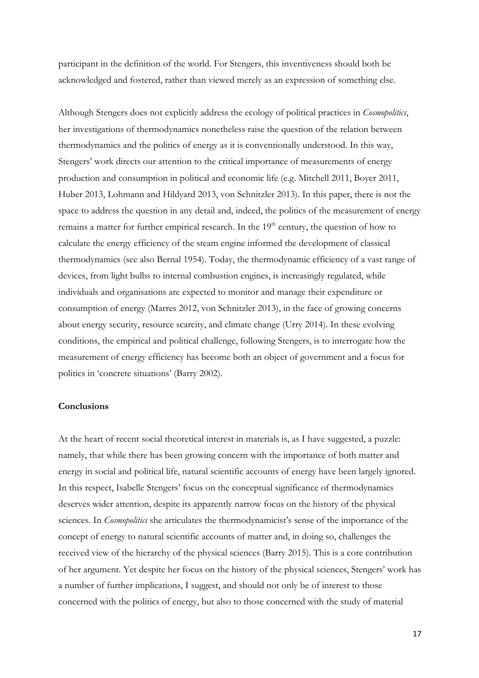participant in the definition of the world. For Stengers, this inventiveness should both be acknowledged and fostered, rather than viewed merely as an expression of something else.

Although Stengers does not explicitly address the ecology of political practices in *Cosmopolitics*, her investigations of thermodynamics nonetheless raise the question of the relation between thermodynamics and the politics of energy as it is conventionally understood. In this way, Stengers' work directs our attention to the critical importance of measurements of energy production and consumption in political and economic life (e.g. Mitchell 2011, Boyer 2011, Huber 2013, Lohmann and Hildyard 2013, von Schnitzler 2013). In this paper, there is not the space to address the question in any detail and, indeed, the politics of the measurement of energy remains a matter for further empirical research. In the 19<sup>th</sup> century, the question of how to calculate the energy efficiency of the steam engine informed the development of classical thermodynamics (see also Bernal 1954). Today, the thermodynamic efficiency of a vast range of devices, from light bulbs to internal combustion engines, is increasingly regulated, while individuals and organisations are expected to monitor and manage their expenditure or consumption of energy (Marres 2012, von Schnitzler 2013), in the face of growing concerns about energy security, resource scarcity, and climate change (Urry 2014). In these evolving conditions, the empirical and political challenge, following Stengers, is to interrogate how the measurement of energy efficiency has become both an object of government and a focus for politics in 'concrete situations' (Barry 2002).

## **Conclusions**

At the heart of recent social theoretical interest in materials is, as I have suggested, a puzzle: namely, that while there has been growing concern with the importance of both matter and energy in social and political life, natural scientific accounts of energy have been largely ignored. In this respect, Isabelle Stengers' focus on the conceptual significance of thermodynamics deserves wider attention, despite its apparently narrow focus on the history of the physical sciences. In *Cosmopolitics* she articulates the thermodynamicist's sense of the importance of the concept of energy to natural scientific accounts of matter and, in doing so, challenges the received view of the hierarchy of the physical sciences (Barry 2015). This is a core contribution of her argument. Yet despite her focus on the history of the physical sciences, Stengers' work has a number of further implications, I suggest, and should not only be of interest to those concerned with the politics of energy, but also to those concerned with the study of material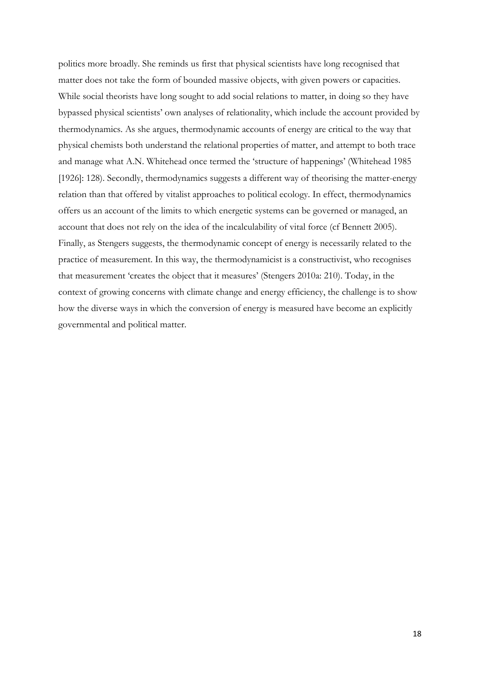politics more broadly. She reminds us first that physical scientists have long recognised that matter does not take the form of bounded massive objects, with given powers or capacities. While social theorists have long sought to add social relations to matter, in doing so they have bypassed physical scientists' own analyses of relationality, which include the account provided by thermodynamics. As she argues, thermodynamic accounts of energy are critical to the way that physical chemists both understand the relational properties of matter, and attempt to both trace and manage what A.N. Whitehead once termed the 'structure of happenings' (Whitehead 1985 [1926]: 128). Secondly, thermodynamics suggests a different way of theorising the matter-energy relation than that offered by vitalist approaches to political ecology. In effect, thermodynamics offers us an account of the limits to which energetic systems can be governed or managed, an account that does not rely on the idea of the incalculability of vital force (cf Bennett 2005). Finally, as Stengers suggests, the thermodynamic concept of energy is necessarily related to the practice of measurement. In this way, the thermodynamicist is a constructivist, who recognises that measurement 'creates the object that it measures' (Stengers 2010a: 210). Today, in the context of growing concerns with climate change and energy efficiency, the challenge is to show how the diverse ways in which the conversion of energy is measured have become an explicitly governmental and political matter.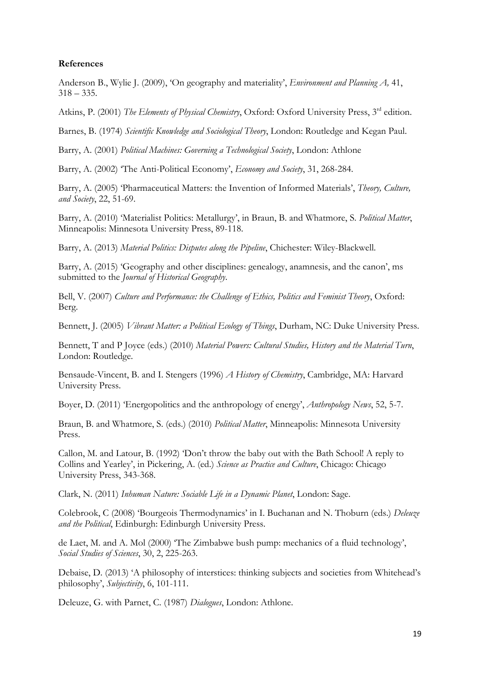## **References**

Anderson B., Wylie J. (2009), 'On geography and materiality', *Environment and Planning A,* 41,  $318 - 335.$ 

Atkins, P. (2001) *The Elements of Physical Chemistry*, Oxford: Oxford University Press, 3rd edition.

Barnes, B. (1974) *Scientific Knowledge and Sociological Theory*, London: Routledge and Kegan Paul.

Barry, A. (2001) *Political Machines: Governing a Technological Society*, London: Athlone

Barry, A. (2002) 'The Anti-Political Economy', *Economy and Society*, 31, 268-284.

Barry, A. (2005) 'Pharmaceutical Matters: the Invention of Informed Materials', *Theory, Culture, and Society*, 22, 51-69.

Barry, A. (2010) 'Materialist Politics: Metallurgy', in Braun, B. and Whatmore, S. *Political Matter*, Minneapolis: Minnesota University Press, 89-118.

Barry, A. (2013) *Material Politics: Disputes along the Pipeline*, Chichester: Wiley-Blackwell.

Barry, A. (2015) 'Geography and other disciplines: genealogy, anamnesis, and the canon', ms submitted to the *Journal of Historical Geography*.

Bell, V. (2007) *Culture and Performance: the Challenge of Ethics, Politics and Feminist Theory*, Oxford: Berg.

Bennett, J. (2005) *Vibrant Matter: a Political Ecology of Things*, Durham, NC: Duke University Press.

Bennett, T and P Joyce (eds.) (2010) *Material Powers: Cultural Studies, History and the Material Turn*, London: Routledge.

Bensaude-Vincent, B. and I. Stengers (1996) *A History of Chemistry*, Cambridge, MA: Harvard University Press.

Boyer, D. (2011) 'Energopolitics and the anthropology of energy', *Anthropology News*, 52, 5-7.

Braun, B. and Whatmore, S. (eds.) (2010) *Political Matter*, Minneapolis: Minnesota University Press.

Callon, M. and Latour, B. (1992) 'Don't throw the baby out with the Bath School! A reply to Collins and Yearley', in Pickering, A. (ed.) *Science as Practice and Culture*, Chicago: Chicago University Press, 343-368.

Clark, N. (2011) *Inhuman Nature: Sociable Life in a Dynamic Planet*, London: Sage.

Colebrook, C (2008) 'Bourgeois Thermodynamics' in I. Buchanan and N. Thoburn (eds.) *Deleuze and the Political*, Edinburgh: Edinburgh University Press.

de Laet, M. and A. Mol (2000) 'The Zimbabwe bush pump: mechanics of a fluid technology', *Social Studies of Sciences*, 30, 2, 225-263.

Debaise, D. (2013) 'A philosophy of interstices: thinking subjects and societies from Whitehead's philosophy', *Subjectivity*, 6, 101-111.

Deleuze, G. with Parnet, C. (1987) *Dialogues*, London: Athlone.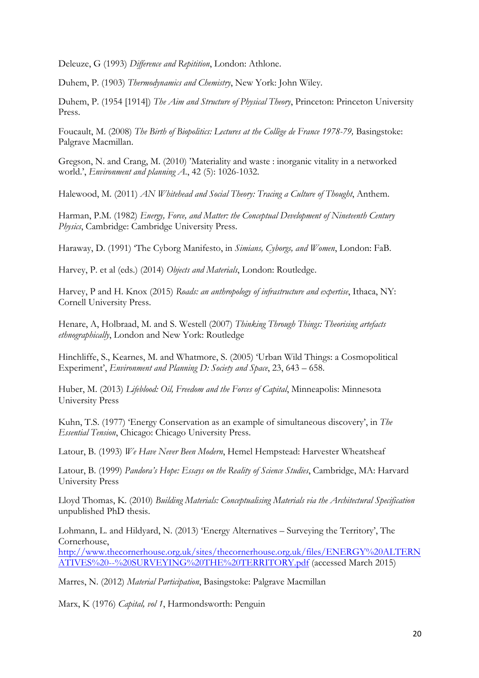Deleuze, G (1993) *Difference and Repitition*, London: Athlone.

Duhem, P. (1903) *Thermodynamics and Chemistry*, New York: John Wiley.

Duhem, P. (1954 [1914]) *The Aim and Structure of Physical Theory*, Princeton: Princeton University Press.

Foucault, M. (2008) *The Birth of Biopolitics: Lectures at the Collège de France 1978-79,* Basingstoke: Palgrave Macmillan.

Gregson, N. and Crang, M. (2010) 'Materiality and waste : inorganic vitality in a networked world.', *Environment and planning A*., 42 (5): 1026-1032.

Halewood, M. (2011) *AN Whitehead and Social Theory: Tracing a Culture of Thought*, Anthem.

Harman, P.M. (1982) *Energy, Force, and Matter: the Conceptual Development of Nineteenth Century Physics*, Cambridge: Cambridge University Press.

Haraway, D. (1991) 'The Cyborg Manifesto, in *Simians, Cyborgs, and Women*, London: FaB.

Harvey, P. et al (eds.) (2014) *Objects and Materials*, London: Routledge.

Harvey, P and H. Knox (2015) *Roads: an anthropology of infrastructure and expertise*, Ithaca, NY: Cornell University Press.

Henare, A, Holbraad, M. and S. Westell (2007) *Thinking Through Things: Theorising artefacts ethnographically*, London and New York: Routledge

Hinchliffe, S., Kearnes, M. and Whatmore, S. (2005) 'Urban Wild Things: a Cosmopolitical Experiment', *Environment and Planning D: Society and Space*, 23, 643 – 658.

Huber, M. (2013) *Lifeblood: Oil, Freedom and the Forces of Capital*, Minneapolis: Minnesota University Press

Kuhn, T.S. (1977) 'Energy Conservation as an example of simultaneous discovery', in *The Essential Tension*, Chicago: Chicago University Press.

Latour, B. (1993) *We Have Never Been Modern*, Hemel Hempstead: Harvester Wheatsheaf

Latour, B. (1999) *Pandora's Hope: Essays on the Reality of Science Studies*, Cambridge, MA: Harvard University Press

Lloyd Thomas, K. (2010) *Building Materials: Conceptualising Materials via the Architectural Specification* unpublished PhD thesis.

Lohmann, L. and Hildyard, N. (2013) 'Energy Alternatives – Surveying the Territory', The Cornerhouse,

http://www.thecornerhouse.org.uk/sites/thecornerhouse.org.uk/files/ENERGY%20ALTERN ATIVES%20--%20SURVEYING%20THE%20TERRITORY.pdf (accessed March 2015)

Marres, N. (2012) *Material Participation*, Basingstoke: Palgrave Macmillan

Marx, K (1976) *Capital, vol 1*, Harmondsworth: Penguin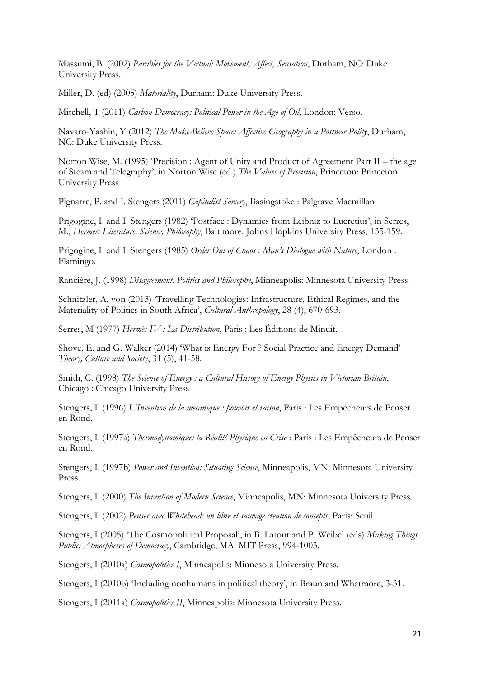Massumi, B. (2002) *Parables for the Virtual: Movement, Affect, Sensation*, Durham, NC: Duke University Press.

Miller, D. (ed) (2005) *Materiality*, Durham: Duke University Press.

Mitchell, T (2011) *Carbon Democracy: Political Power in the Age of Oil*, London: Verso.

Navaro-Yashin, Y (2012) *The Make-Believe Space: Affective Geography in a Postwar Polity*, Durham, NC: Duke University Press.

Norton Wise, M. (1995) 'Precision : Agent of Unity and Product of Agreement Part II – the age of Steam and Telegraphy', in Norton Wise (ed.) *The Values of Precision*, Princeton: Princeton University Press

Pignarre, P. and I. Stengers (2011) *Capitalist Sorcery*, Basingstoke : Palgrave Macmillan

Prigogine, I. and I. Stengers (1982) 'Postface : Dynamics from Leibniz to Lucretius', in Serres, M., *Hermes: Literature, Science, Philosophy*, Baltimore: Johns Hopkins University Press, 135-159.

Prigogine, I. and I. Stengers (1985) *Order Out of Chaos : Man's Dialogue with Nature*, London : Flamingo.

Rancière, J. (1998) *Disagreement: Politics and Philosophy*, Minneapolis: Minnesota University Press.

Schnitzler, A. von (2013) 'Travelling Technologies: Infrastructure, Ethical Regimes, and the Materiality of Politics in South Africa', *Cultural Anthropology*, 28 (4), 670-693.

Serres, M (1977) *Hermès IV : La Distribution*, Paris : Les Éditions de Minuit.

Shove, E. and G. Walker (2014) 'What is Energy For ? Social Practice and Energy Demand' *Theory, Culture and Society*, 31 (5), 41-58.

Smith, C. (1998) *The Science of Energy : a Cultural History of Energy Physics in Victorian Britain*, Chicago : Chicago University Press

Stengers, I. (1996) *L'Invention de la mécanique : pouvoir et raison*, Paris : Les Empêcheurs de Penser en Rond.

Stengers, I. (1997a) *Thermodynamique: la Réalité Physique en Crise* : Paris : Les Empêcheurs de Penser en Rond.

Stengers, I. (1997b) *Power and Invention: Situating Science*, Minneapolis, MN: Minnesota University Press.

Stengers, I. (2000) *The Invention of Modern Science*, Minneapolis, MN: Minnesota University Press.

Stengers, I. (2002) *Penser avec Whitehead: un libre et sauvage creation de concepts*, Paris: Seuil.

Stengers, I (2005) 'The Cosmopolitical Proposal', in B. Latour and P. Weibel (eds) *Making Things Public: Atmospheres of Democracy*, Cambridge, MA: MIT Press, 994-1003.

Stengers, I (2010a) *Cosmopolitics I*, Minneapolis: Minnesota University Press.

Stengers, I (2010b) 'Including nonhumans in political theory', in Braun and Whatmore, 3-31.

Stengers, I (2011a) *Cosmopolitics II*, Minneapolis: Minnesota University Press.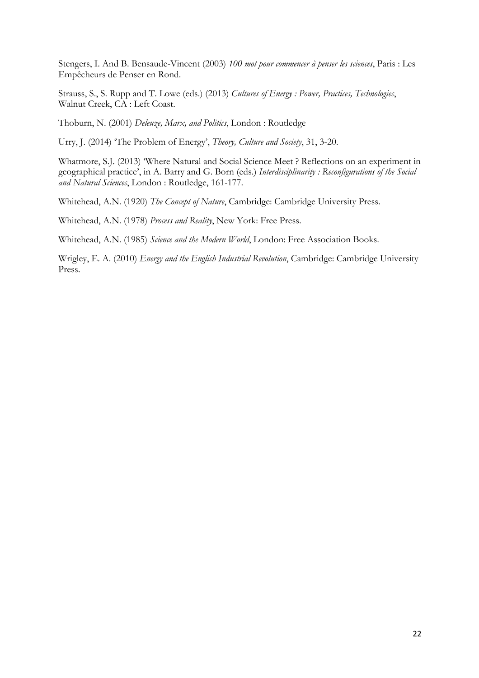Stengers, I. And B. Bensaude-Vincent (2003) *100 mot pour commencer à penser les sciences*, Paris : Les Empêcheurs de Penser en Rond.

Strauss, S., S. Rupp and T. Lowe (eds.) (2013) *Cultures of Energy : Power, Practices, Technologies*, Walnut Creek, CA : Left Coast.

Thoburn, N. (2001) *Deleuze, Marx, and Politics*, London : Routledge

Urry, J. (2014) 'The Problem of Energy', *Theory, Culture and Society*, 31, 3-20.

Whatmore, S.J. (2013) 'Where Natural and Social Science Meet ? Reflections on an experiment in geographical practice', in A. Barry and G. Born (eds.) *Interdisciplinarity : Reconfigurations of the Social and Natural Sciences*, London : Routledge, 161-177.

Whitehead, A.N. (1920) *The Concept of Nature*, Cambridge: Cambridge University Press.

Whitehead, A.N. (1978) *Process and Reality*, New York: Free Press.

Whitehead, A.N. (1985) *Science and the Modern World*, London: Free Association Books.

Wrigley, E. A. (2010) *Energy and the English Industrial Revolution*, Cambridge: Cambridge University Press.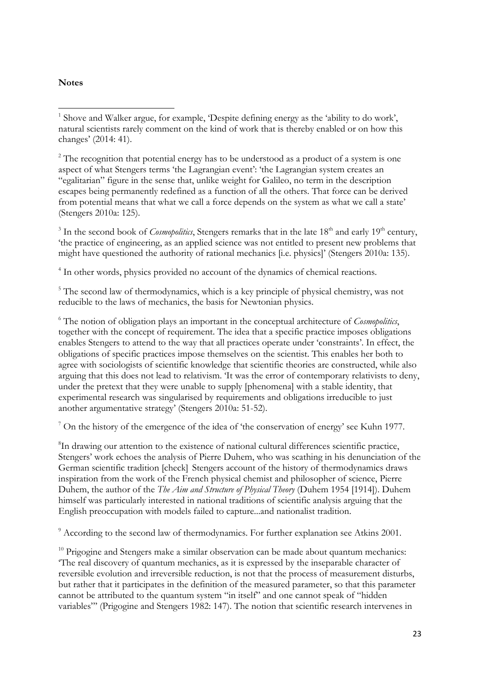# **Notes**

<u> 1989 - Jan Samuel Barbara, político establecido de la provincia de la provincia de la provincia de la provinci</u>

<sup>1</sup> Shove and Walker argue, for example, 'Despite defining energy as the 'ability to do work', natural scientists rarely comment on the kind of work that is thereby enabled or on how this changes' (2014: 41).

 $2^2$  The recognition that potential energy has to be understood as a product of a system is one aspect of what Stengers terms 'the Lagrangian event': 'the Lagrangian system creates an "egalitarian" figure in the sense that, unlike weight for Galileo, no term in the description escapes being permanently redefined as a function of all the others. That force can be derived from potential means that what we call a force depends on the system as what we call a state' (Stengers 2010a: 125).

 $3$  In the second book of *Cosmopolitics*, Stengers remarks that in the late  $18<sup>th</sup>$  and early  $19<sup>th</sup>$  century, 'the practice of engineering, as an applied science was not entitled to present new problems that might have questioned the authority of rational mechanics [i.e. physics]' (Stengers 2010a: 135).

<sup>4</sup> In other words, physics provided no account of the dynamics of chemical reactions.

<sup>5</sup> The second law of thermodynamics, which is a key principle of physical chemistry, was not reducible to the laws of mechanics, the basis for Newtonian physics.

<sup>6</sup> The notion of obligation plays an important in the conceptual architecture of *Cosmopolitics*, together with the concept of requirement. The idea that a specific practice imposes obligations enables Stengers to attend to the way that all practices operate under 'constraints'. In effect, the obligations of specific practices impose themselves on the scientist. This enables her both to agree with sociologists of scientific knowledge that scientific theories are constructed, while also arguing that this does not lead to relativism. 'It was the error of contemporary relativists to deny, under the pretext that they were unable to supply [phenomena] with a stable identity, that experimental research was singularised by requirements and obligations irreducible to just another argumentative strategy' (Stengers 2010a: 51-52).

 $<sup>7</sup>$  On the history of the emergence of the idea of 'the conservation of energy' see Kuhn 1977.</sup>

<sup>8</sup>In drawing our attention to the existence of national cultural differences scientific practice, Stengers' work echoes the analysis of Pierre Duhem, who was scathing in his denunciation of the German scientific tradition [check] Stengers account of the history of thermodynamics draws inspiration from the work of the French physical chemist and philosopher of science, Pierre Duhem, the author of the *The Aim and Structure of Physical Theory* (Duhem 1954 [1914]). Duhem himself was particularly interested in national traditions of scientific analysis arguing that the English preoccupation with models failed to capture...and nationalist tradition.

<sup>9</sup> According to the second law of thermodynamics. For further explanation see Atkins 2001.

 $10$  Prigogine and Stengers make a similar observation can be made about quantum mechanics: 'The real discovery of quantum mechanics, as it is expressed by the inseparable character of reversible evolution and irreversible reduction, is not that the process of measurement disturbs, but rather that it participates in the definition of the measured parameter, so that this parameter cannot be attributed to the quantum system "in itself" and one cannot speak of "hidden variables"' (Prigogine and Stengers 1982: 147). The notion that scientific research intervenes in